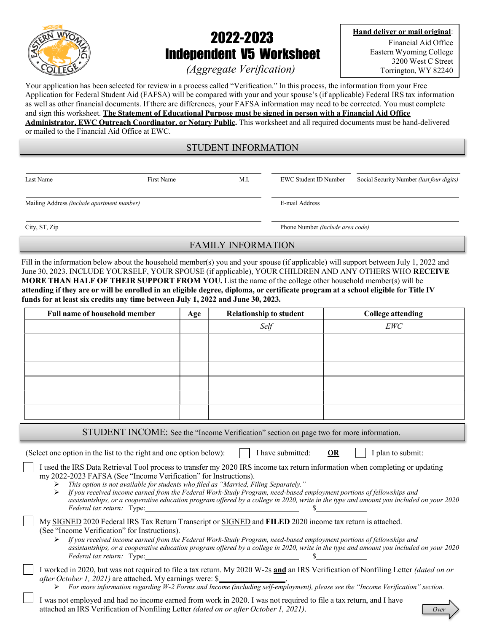

# 2022-2023 Independent V5 Worksheet

Hand deliver or mail original: Financial Aid Office

Eastern Wyoming College 3200 West C Street Torrington, WY 82240

(Aggregate Verification)

Your application has been selected for review in a process called "Verification." In this process, the information from your Free Application for Federal Student Aid (FAFSA) will be compared with your and your spouse's (if applicable) Federal IRS tax information as well as other financial documents. If there are differences, your FAFSA information may need to be corrected. You must complete and sign this worksheet. The Statement of Educational Purpose must be signed in person with a Financial Aid Office Administrator, EWC Outreach Coordinator, or Notary Public. This worksheet and all required documents must be hand-delivered or mailed to the Financial Aid Office at EWC.

STUDENT INFORMATION

Last Name First Name First Name M.I. EWC Student ID Number Social Security Number (last four digits)

Mailing Address (include apartment number) E-mail Address

City, ST, Zip Phone Number (include area code)

#### FAMILY INFORMATION

Fill in the information below about the household member(s) you and your spouse (if applicable) will support between July 1, 2022 and June 30, 2023. INCLUDE YOURSELF, YOUR SPOUSE (if applicable), YOUR CHILDREN AND ANY OTHERS WHO RECEIVE MORE THAN HALF OF THEIR SUPPORT FROM YOU. List the name of the college other household member(s) will be attending if they are or will be enrolled in an eligible degree, diploma, or certificate program at a school eligible for Title IV funds for at least six credits any time between July 1, 2022 and June 30, 2023.

| <b>Full name of household member</b>                                                                                                                                                                                                                                                                                       | Age | <b>Relationship to student</b>                                                                                       | <b>College attending</b>                                                                                                                        |
|----------------------------------------------------------------------------------------------------------------------------------------------------------------------------------------------------------------------------------------------------------------------------------------------------------------------------|-----|----------------------------------------------------------------------------------------------------------------------|-------------------------------------------------------------------------------------------------------------------------------------------------|
|                                                                                                                                                                                                                                                                                                                            |     | Self                                                                                                                 | <b>EWC</b>                                                                                                                                      |
|                                                                                                                                                                                                                                                                                                                            |     |                                                                                                                      |                                                                                                                                                 |
|                                                                                                                                                                                                                                                                                                                            |     |                                                                                                                      |                                                                                                                                                 |
|                                                                                                                                                                                                                                                                                                                            |     |                                                                                                                      |                                                                                                                                                 |
|                                                                                                                                                                                                                                                                                                                            |     |                                                                                                                      |                                                                                                                                                 |
|                                                                                                                                                                                                                                                                                                                            |     |                                                                                                                      |                                                                                                                                                 |
|                                                                                                                                                                                                                                                                                                                            |     |                                                                                                                      |                                                                                                                                                 |
|                                                                                                                                                                                                                                                                                                                            |     | STUDENT INCOME: See the "Income Verification" section on page two for more information.                              |                                                                                                                                                 |
| (Select one option in the list to the right and one option below):                                                                                                                                                                                                                                                         |     | I have submitted:                                                                                                    | I plan to submit:<br><b>OR</b>                                                                                                                  |
| I used the IRS Data Retrieval Tool process to transfer my 2020 IRS income tax return information when completing or updating<br>my 2022-2023 FAFSA (See "Income Verification" for Instructions).<br>This option is not available for students who filed as "Married, Filing Separately."<br>➤<br>Federal tax return: Type: |     | If you received income earned from the Federal Work-Study Program, need-based employment portions of fellowships and | assistantships, or a cooperative education program offered by a college in 2020, write in the type and amount you included on your 2020         |
| My SIGNED 2020 Federal IRS Tax Return Transcript or SIGNED and FILED 2020 income tax return is attached.<br>(See "Income Verification" for Instructions).<br>Federal tax return: Type:                                                                                                                                     |     | If you received income earned from the Federal Work-Study Program, need-based employment portions of fellowships and | assistantships, or a cooperative education program offered by a college in 2020, write in the type and amount you included on your 2020         |
| I worked in 2020, but was not required to file a tax return. My 2020 W-2s and an IRS Verification of Nonfiling Letter (dated on or<br><i>after October 1, 2021)</i> are attached. My earnings were: \$                                                                                                                     |     |                                                                                                                      | $\triangleright$ For more information regarding W-2 Forms and Income (including self-employment), please see the "Income Verification" section. |
| I was not employed and had no income earned from work in 2020. I was not required to file a tax return, and I have<br>attached an IRS Verification of Nonfiling Letter (dated on or after October 1, 2021).                                                                                                                |     |                                                                                                                      | Over                                                                                                                                            |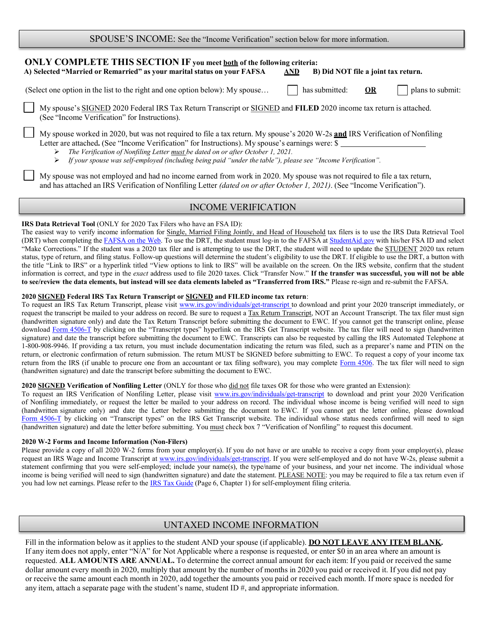| SPOUSE'S INCOME: See the "Income Verification" section below for more information. |  |
|------------------------------------------------------------------------------------|--|
|------------------------------------------------------------------------------------|--|

## ONLY COMPLETE THIS SECTION IF you meet both of the following criteria: A) Selected "Married or Remarried" as your marital status on your FAFSA AND B) Did NOT file a joint tax return. (Select one option in the list to the right and one option below): My spouse...  $\parallel$  has submitted: OR plans to submit: My spouse's SIGNED 2020 Federal IRS Tax Return Transcript or SIGNED and FILED 2020 income tax return is attached. (See "Income Verification" for Instructions).

My spouse worked in 2020, but was not required to file a tax return. My spouse's 2020 W-2s and IRS Verification of Nonfiling Letter are attached. (See "Income Verification" for Instructions). My spouse's earnings were: \$

The Verification of Nonfiling Letter must be dated on or after October 1, 2021.

 $\triangleright$  If your spouse was self-employed (including being paid "under the table"), please see "Income Verification".

My spouse was not employed and had no income earned from work in 2020. My spouse was not required to file a tax return, and has attached an IRS Verification of Nonfiling Letter (dated on or after October 1, 2021). (See "Income Verification").

## INCOME VERIFICATION

#### IRS Data Retrieval Tool (ONLY for 2020 Tax Filers who have an FSA ID):

The easiest way to verify income information for Single, Married Filing Jointly, and Head of Household tax filers is to use the IRS Data Retrieval Tool (DRT) when completing the FAFSA on the Web. To use the DRT, the student must log-in to the FAFSA at StudentAid.gov with his/her FSA ID and select "Make Corrections." If the student was a 2020 tax filer and is attempting to use the DRT, the student will need to update the STUDENT 2020 tax return status, type of return, and filing status. Follow-up questions will determine the student's eligibility to use the DRT. If eligible to use the DRT, a button with the title "Link to IRS" or a hyperlink titled "View options to link to IRS" will be available on the screen. On the IRS website, confirm that the student information is correct, and type in the exact address used to file 2020 taxes. Click "Transfer Now." If the transfer was successful, you will not be able to see/review the data elements, but instead will see data elements labeled as "Transferred from IRS." Please re-sign and re-submit the FAFSA.

#### 2020 SIGNED Federal IRS Tax Return Transcript or SIGNED and FILED income tax return:

To request an IRS Tax Return Transcript, please visit www.irs.gov/individuals/get-transcript to download and print your 2020 transcript immediately, or request the transcript be mailed to your address on record. Be sure to request a Tax Return Transcript, NOT an Account Transcript. The tax filer must sign (handwritten signature only) and date the Tax Return Transcript before submitting the document to EWC. If you cannot get the transcript online, please download Form 4506-T by clicking on the "Transcript types" hyperlink on the IRS Get Transcript website. The tax filer will need to sign (handwritten signature) and date the transcript before submitting the document to EWC. Transcripts can also be requested by calling the IRS Automated Telephone at 1-800-908-9946. If providing a tax return, you must include documentation indicating the return was filed, such as a preparer's name and PTIN on the return, or electronic confirmation of return submission. The return MUST be SIGNED before submitting to EWC. To request a copy of your income tax return from the IRS (if unable to procure one from an accountant or tax filing software), you may complete Form 4506. The tax filer will need to sign (handwritten signature) and date the transcript before submitting the document to EWC.

#### 2020 SIGNED Verification of Nonfiling Letter (ONLY for those who did not file taxes OR for those who were granted an Extension):

To request an IRS Verification of Nonfiling Letter, please visit www.irs.gov/individuals/get-transcript to download and print your 2020 Verification of Nonfiling immediately, or request the letter be mailed to your address on record. The individual whose income is being verified will need to sign (handwritten signature only) and date the Letter before submitting the document to EWC. If you cannot get the letter online, please download Form 4506-T by clicking on "Transcript types" on the IRS Get Transcript website. The individual whose status needs confirmed will need to sign (handwritten signature) and date the letter before submitting. You must check box 7 "Verification of Nonfiling" to request this document.

#### 2020 W-2 Forms and Income Information (Non-Filers)

Please provide a copy of all 2020 W-2 forms from your employer(s). If you do not have or are unable to receive a copy from your employer(s), please request an IRS Wage and Income Transcript at www.irs.gov/individuals/get-transcript. If you were self-employed and do not have W-2s, please submit a statement confirming that you were self-employed; include your name(s), the type/name of your business, and your net income. The individual whose income is being verified will need to sign (handwritten signature) and date the statement. PLEASE NOTE: you may be required to file a tax return even if you had low net earnings. Please refer to the IRS Tax Guide (Page 6, Chapter 1) for self-employment filing criteria.

## UNTAXED INCOME INFORMATION

Fill in the information below as it applies to the student AND your spouse (if applicable). **DO NOT LEAVE ANY ITEM BLANK.** If any item does not apply, enter "N/A" for Not Applicable where a response is requested, or enter \$0 in an area where an amount is requested. ALL AMOUNTS ARE ANNUAL. To determine the correct annual amount for each item: If you paid or received the same dollar amount every month in 2020, multiply that amount by the number of months in 2020 you paid or received it. If you did not pay or receive the same amount each month in 2020, add together the amounts you paid or received each month. If more space is needed for any item, attach a separate page with the student's name, student  $ID \#$ , and appropriate information.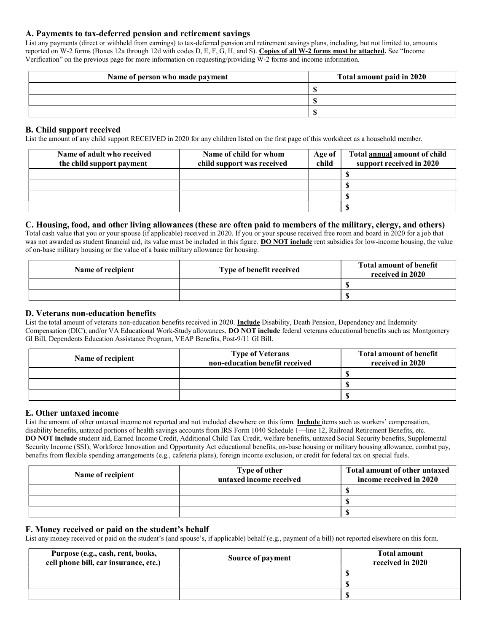#### A. Payments to tax-deferred pension and retirement savings

List any payments (direct or withheld from earnings) to tax-deferred pension and retirement savings plans, including, but not limited to, amounts reported on W-2 forms (Boxes 12a through 12d with codes D, E, F, G, H, and S). Copies of all W-2 forms must be attached. See "Income Verification" on the previous page for more information on requesting/providing W-2 forms and income information.

| Name of person who made payment | Total amount paid in 2020 |
|---------------------------------|---------------------------|
|                                 |                           |
|                                 |                           |
|                                 |                           |

#### B. Child support received

List the amount of any child support RECEIVED in 2020 for any children listed on the first page of this worksheet as a household member.

| Name of adult who received<br>the child support payment | Name of child for whom<br>child support was received | Age of<br>child | Total annual amount of child<br>support received in 2020 |
|---------------------------------------------------------|------------------------------------------------------|-----------------|----------------------------------------------------------|
|                                                         |                                                      |                 |                                                          |
|                                                         |                                                      |                 |                                                          |
|                                                         |                                                      |                 |                                                          |
|                                                         |                                                      |                 |                                                          |

#### C. Housing, food, and other living allowances (these are often paid to members of the military, clergy, and others)

Total cash value that you or your spouse (if applicable) received in 2020. If you or your spouse received free room and board in 2020 for a job that was not awarded as student financial aid, its value must be included in this figure. DO NOT include rent subsidies for low-income housing, the value of on-base military housing or the value of a basic military allowance for housing.

| Name of recipient | Type of benefit received | <b>Total amount of benefit</b><br>received in 2020 |
|-------------------|--------------------------|----------------------------------------------------|
|                   |                          |                                                    |
|                   |                          |                                                    |

#### D. Veterans non-education benefits

List the total amount of veterans non-education benefits received in 2020. Include Disability, Death Pension, Dependency and Indemnity Compensation (DIC), and/or VA Educational Work-Study allowances. DO NOT include federal veterans educational benefits such as: Montgomery GI Bill, Dependents Education Assistance Program, VEAP Benefits, Post-9/11 GI Bill.

| Name of recipient | <b>Type of Veterans</b><br>non-education benefit received | <b>Total amount of benefit</b><br>received in 2020 |
|-------------------|-----------------------------------------------------------|----------------------------------------------------|
|                   |                                                           |                                                    |
|                   |                                                           |                                                    |
|                   |                                                           |                                                    |

#### E. Other untaxed income

List the amount of other untaxed income not reported and not included elsewhere on this form. Include items such as workers' compensation, disability benefits, untaxed portions of health savings accounts from IRS Form 1040 Schedule 1—line 12, Railroad Retirement Benefits, etc. DO NOT include student aid, Earned Income Credit, Additional Child Tax Credit, welfare benefits, untaxed Social Security benefits, Supplemental Security Income (SSI), Workforce Innovation and Opportunity Act educational benefits, on-base housing or military housing allowance, combat pay, benefits from flexible spending arrangements (e.g., cafeteria plans), foreign income exclusion, or credit for federal tax on special fuels.

| Name of recipient | Type of other<br>untaxed income received | Total amount of other untaxed<br>income received in 2020 |
|-------------------|------------------------------------------|----------------------------------------------------------|
|                   |                                          |                                                          |
|                   |                                          |                                                          |
|                   |                                          |                                                          |

#### F. Money received or paid on the student's behalf

List any money received or paid on the student's (and spouse's, if applicable) behalf (e.g., payment of a bill) not reported elsewhere on this form.

| Purpose (e.g., cash, rent, books,<br>cell phone bill, car insurance, etc.) | Source of payment | <b>Total amount</b><br>received in 2020 |
|----------------------------------------------------------------------------|-------------------|-----------------------------------------|
|                                                                            |                   |                                         |
|                                                                            |                   |                                         |
|                                                                            |                   |                                         |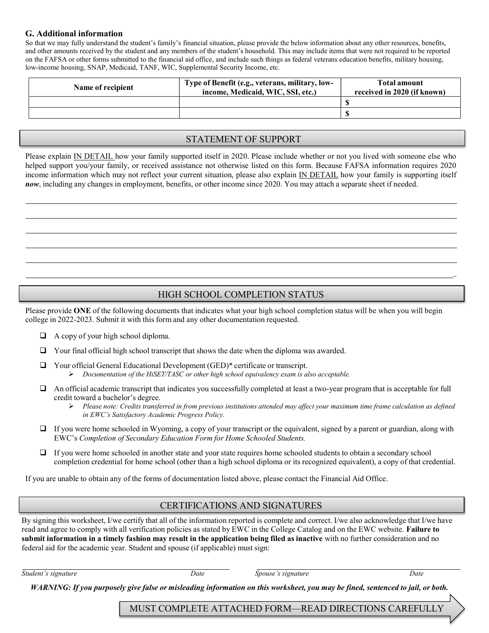#### G. Additional information

So that we may fully understand the student's family's financial situation, please provide the below information about any other resources, benefits, and other amounts received by the student and any members of the student's household. This may include items that were not required to be reported on the FAFSA or other forms submitted to the financial aid office, and include such things as federal veterans education benefits, military housing, low-income housing, SNAP, Medicaid, TANF, WIC, Supplemental Security Income, etc.

| Name of recipient | Type of Benefit (e.g., veterans, military, low-<br>income, Medicaid, WIC, SSI, etc.) | <b>Total amount</b><br>received in 2020 (if known) |
|-------------------|--------------------------------------------------------------------------------------|----------------------------------------------------|
|                   |                                                                                      |                                                    |
|                   |                                                                                      |                                                    |

#### STATEMENT OF SUPPORT

Please explain IN DETAIL how your family supported itself in 2020. Please include whether or not you lived with someone else who helped support you/your family, or received assistance not otherwise listed on this form. Because FAFSA information requires 2020 income information which may not reflect your current situation, please also explain IN DETAIL how your family is supporting itself now, including any changes in employment, benefits, or other income since 2020. You may attach a separate sheet if needed.

### HIGH SCHOOL COMPLETION STATUS

Please provide ONE of the following documents that indicates what your high school completion status will be when you will begin college in 2022-2023. Submit it with this form and any other documentation requested.

- $\Box$  A copy of your high school diploma.
- Your final official high school transcript that shows the date when the diploma was awarded.
	- Your official General Educational Development (GED)\* certificate or transcript.  $\triangleright$  Documentation of the HiSET/TASC or other high school equivalency exam is also acceptable.
- An official academic transcript that indicates you successfully completed at least a two-year program that is acceptable for full credit toward a bachelor's degree.
	- $\triangleright$  Please note: Credits transferred in from previous institutions attended may affect your maximum time frame calculation as defined in EWC's Satisfactory Academic Progress Policy.
- $\Box$  If you were home schooled in Wyoming, a copy of your transcript or the equivalent, signed by a parent or guardian, along with EWC's Completion of Secondary Education Form for Home Schooled Students.
- If you were home schooled in another state and your state requires home schooled students to obtain a secondary school completion credential for home school (other than a high school diploma or its recognized equivalent), a copy of that credential.

If you are unable to obtain any of the forms of documentation listed above, please contact the Financial Aid Office.

#### CERTIFICATIONS AND SIGNATURES

By signing this worksheet, I/we certify that all of the information reported is complete and correct. I/we also acknowledge that I/we have read and agree to comply with all verification policies as stated by EWC in the College Catalog and on the EWC website. Failure to submit information in a timely fashion may result in the application being filed as inactive with no further consideration and no federal aid for the academic year. Student and spouse (if applicable) must sign:

Student's signature Date Spouse's signature Date

WARNING: If you purposely give false or misleading information on this worksheet, you may be fined, sentenced to jail, or both.

MUST COMPLETE ATTACHED FORM—READ DIRECTIONS CAREFULLY